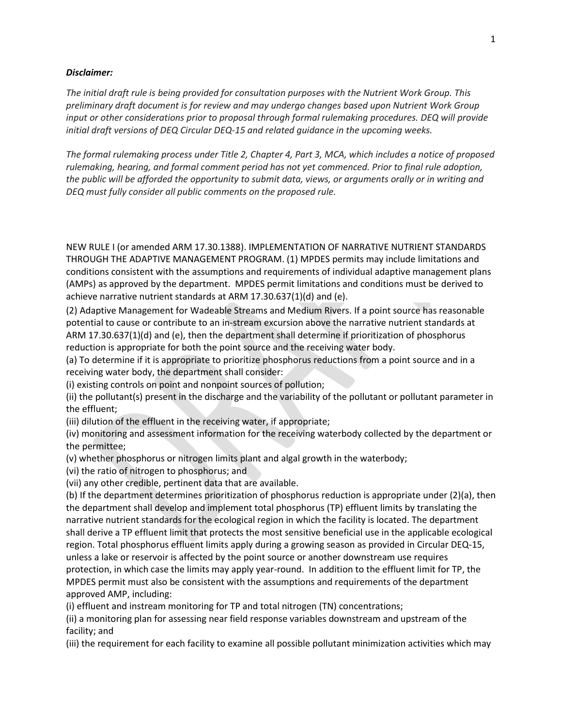## *Disclaimer:*

*The initial draft rule is being provided for consultation purposes with the Nutrient Work Group. This preliminary draft document is for review and may undergo changes based upon Nutrient Work Group input or other considerations prior to proposal through formal rulemaking procedures. DEQ will provide initial draft versions of DEQ Circular DEQ-15 and related guidance in the upcoming weeks.* 

*The formal rulemaking process under Title 2, Chapter 4, Part 3, MCA, which includes a notice of proposed rulemaking, hearing, and formal comment period has not yet commenced. Prior to final rule adoption, the public will be afforded the opportunity to submit data, views, or arguments orally or in writing and DEQ must fully consider all public comments on the proposed rule.*

NEW RULE I (or amended ARM 17.30.1388). IMPLEMENTATION OF NARRATIVE NUTRIENT STANDARDS THROUGH THE ADAPTIVE MANAGEMENT PROGRAM. (1) MPDES permits may include limitations and conditions consistent with the assumptions and requirements of individual adaptive management plans (AMPs) as approved by the department. MPDES permit limitations and conditions must be derived to achieve narrative nutrient standards at ARM 17.30.637(1)(d) and (e).

(2) Adaptive Management for Wadeable Streams and Medium Rivers. If a point source has reasonable potential to cause or contribute to an in-stream excursion above the narrative nutrient standards at ARM 17.30.637(1)(d) and (e), then the department shall determine if prioritization of phosphorus reduction is appropriate for both the point source and the receiving water body.

(a) To determine if it is appropriate to prioritize phosphorus reductions from a point source and in a receiving water body, the department shall consider:

(i) existing controls on point and nonpoint sources of pollution;

(ii) the pollutant(s) present in the discharge and the variability of the pollutant or pollutant parameter in the effluent;

(iii) dilution of the effluent in the receiving water, if appropriate;

(iv) monitoring and assessment information for the receiving waterbody collected by the department or the permittee;

(v) whether phosphorus or nitrogen limits plant and algal growth in the waterbody;

(vi) the ratio of nitrogen to phosphorus; and

(vii) any other credible, pertinent data that are available.

(b) If the department determines prioritization of phosphorus reduction is appropriate under (2)(a), then the department shall develop and implement total phosphorus (TP) effluent limits by translating the narrative nutrient standards for the ecological region in which the facility is located. The department shall derive a TP effluent limit that protects the most sensitive beneficial use in the applicable ecological region. Total phosphorus effluent limits apply during a growing season as provided in Circular DEQ-15, unless a lake or reservoir is affected by the point source or another downstream use requires protection, in which case the limits may apply year-round. In addition to the effluent limit for TP, the MPDES permit must also be consistent with the assumptions and requirements of the department approved AMP, including:

(i) effluent and instream monitoring for TP and total nitrogen (TN) concentrations;

(ii) a monitoring plan for assessing near field response variables downstream and upstream of the facility; and

(iii) the requirement for each facility to examine all possible pollutant minimization activities which may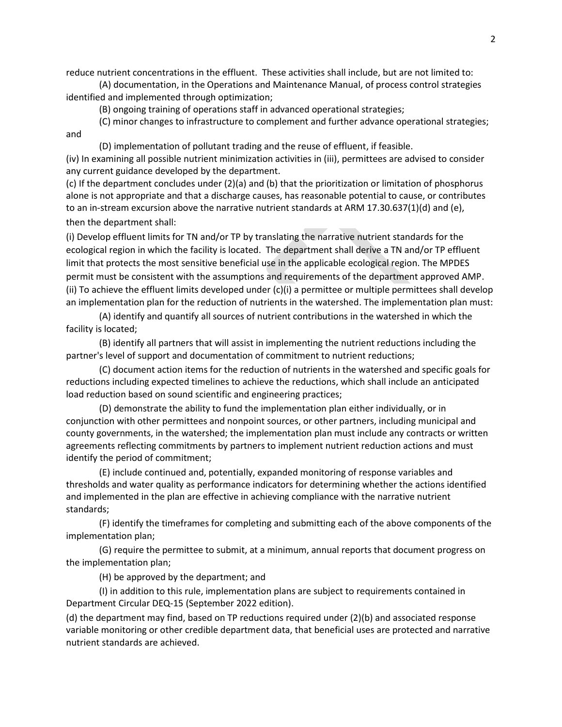reduce nutrient concentrations in the effluent. These activities shall include, but are not limited to:

(A) documentation, in the Operations and Maintenance Manual, of process control strategies identified and implemented through optimization;

(B) ongoing training of operations staff in advanced operational strategies;

(C) minor changes to infrastructure to complement and further advance operational strategies; and

(D) implementation of pollutant trading and the reuse of effluent, if feasible.

(iv) In examining all possible nutrient minimization activities in (iii), permittees are advised to consider any current guidance developed by the department.

(c) If the department concludes under (2)(a) and (b) that the prioritization or limitation of phosphorus alone is not appropriate and that a discharge causes, has reasonable potential to cause, or contributes to an in-stream excursion above the narrative nutrient standards at ARM 17.30.637(1)(d) and (e), then the department shall:

(i) Develop effluent limits for TN and/or TP by translating the narrative nutrient standards for the ecological region in which the facility is located. The department shall derive a TN and/or TP effluent limit that protects the most sensitive beneficial use in the applicable ecological region. The MPDES permit must be consistent with the assumptions and requirements of the department approved AMP. (ii) To achieve the effluent limits developed under  $(c)(i)$  a permittee or multiple permittees shall develop an implementation plan for the reduction of nutrients in the watershed. The implementation plan must:

(A) identify and quantify all sources of nutrient contributions in the watershed in which the facility is located;

(B) identify all partners that will assist in implementing the nutrient reductions including the partner's level of support and documentation of commitment to nutrient reductions;

(C) document action items for the reduction of nutrients in the watershed and specific goals for reductions including expected timelines to achieve the reductions, which shall include an anticipated load reduction based on sound scientific and engineering practices;

(D) demonstrate the ability to fund the implementation plan either individually, or in conjunction with other permittees and nonpoint sources, or other partners, including municipal and county governments, in the watershed; the implementation plan must include any contracts or written agreements reflecting commitments by partners to implement nutrient reduction actions and must identify the period of commitment;

(E) include continued and, potentially, expanded monitoring of response variables and thresholds and water quality as performance indicators for determining whether the actions identified and implemented in the plan are effective in achieving compliance with the narrative nutrient standards;

(F) identify the timeframes for completing and submitting each of the above components of the implementation plan;

(G) require the permittee to submit, at a minimum, annual reports that document progress on the implementation plan;

(H) be approved by the department; and

(I) in addition to this rule, implementation plans are subject to requirements contained in Department Circular DEQ-15 (September 2022 edition).

(d) the department may find, based on TP reductions required under (2)(b) and associated response variable monitoring or other credible department data, that beneficial uses are protected and narrative nutrient standards are achieved.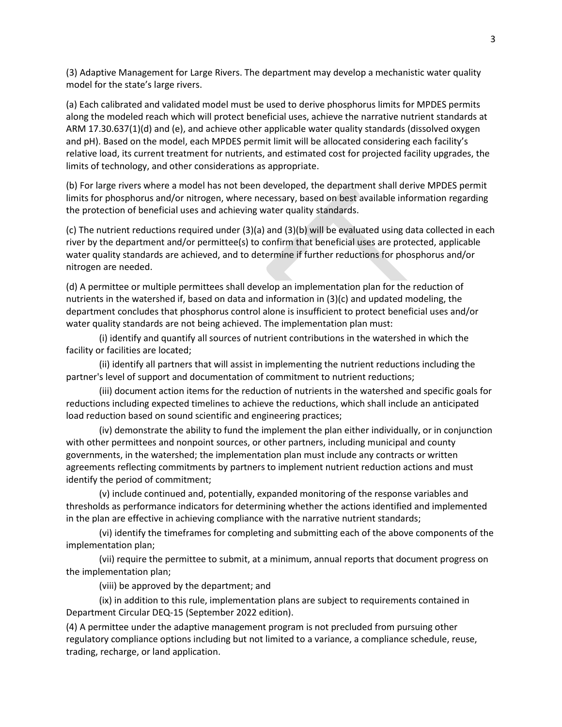(3) Adaptive Management for Large Rivers. The department may develop a mechanistic water quality model for the state's large rivers.

(a) Each calibrated and validated model must be used to derive phosphorus limits for MPDES permits along the modeled reach which will protect beneficial uses, achieve the narrative nutrient standards at ARM 17.30.637(1)(d) and (e), and achieve other applicable water quality standards (dissolved oxygen and pH). Based on the model, each MPDES permit limit will be allocated considering each facility's relative load, its current treatment for nutrients, and estimated cost for projected facility upgrades, the limits of technology, and other considerations as appropriate.

(b) For large rivers where a model has not been developed, the department shall derive MPDES permit limits for phosphorus and/or nitrogen, where necessary, based on best available information regarding the protection of beneficial uses and achieving water quality standards.

(c) The nutrient reductions required under (3)(a) and (3)(b) will be evaluated using data collected in each river by the department and/or permittee(s) to confirm that beneficial uses are protected, applicable water quality standards are achieved, and to determine if further reductions for phosphorus and/or nitrogen are needed.

(d) A permittee or multiple permittees shall develop an implementation plan for the reduction of nutrients in the watershed if, based on data and information in (3)(c) and updated modeling, the department concludes that phosphorus control alone is insufficient to protect beneficial uses and/or water quality standards are not being achieved. The implementation plan must:

(i) identify and quantify all sources of nutrient contributions in the watershed in which the facility or facilities are located;

(ii) identify all partners that will assist in implementing the nutrient reductions including the partner's level of support and documentation of commitment to nutrient reductions;

(iii) document action items for the reduction of nutrients in the watershed and specific goals for reductions including expected timelines to achieve the reductions, which shall include an anticipated load reduction based on sound scientific and engineering practices;

(iv) demonstrate the ability to fund the implement the plan either individually, or in conjunction with other permittees and nonpoint sources, or other partners, including municipal and county governments, in the watershed; the implementation plan must include any contracts or written agreements reflecting commitments by partners to implement nutrient reduction actions and must identify the period of commitment;

(v) include continued and, potentially, expanded monitoring of the response variables and thresholds as performance indicators for determining whether the actions identified and implemented in the plan are effective in achieving compliance with the narrative nutrient standards;

(vi) identify the timeframes for completing and submitting each of the above components of the implementation plan;

(vii) require the permittee to submit, at a minimum, annual reports that document progress on the implementation plan;

(viii) be approved by the department; and

(ix) in addition to this rule, implementation plans are subject to requirements contained in Department Circular DEQ-15 (September 2022 edition).

(4) A permittee under the adaptive management program is not precluded from pursuing other regulatory compliance options including but not limited to a variance, a compliance schedule, reuse, trading, recharge, or land application.